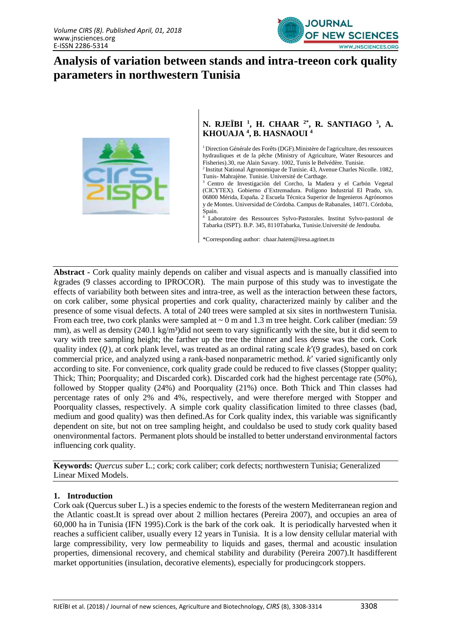

# **Analysis of variation between stands and intra-treeon cork quality parameters in northwestern Tunisia**



## **N. RJEÏBI <sup>1</sup> , H. CHAAR 2\* , R. SANTIAGO <sup>3</sup> , A. KHOUAJA <sup>4</sup> , B. HASNAOUI <sup>4</sup>**

<sup>1</sup> Direction Générale des Forêts (DGF). Ministère de l'agriculture, des ressources hydrauliques et de la pêche (Ministry of Agriculture, Water Resources and Fisheries).30, rue Alain Savary. 1002, Tunis le Belvédère. Tunisie.

<sup>2</sup> Institut National Agronomique de Tunisie. 43, Avenue Charles Nicolle. 1082, Tunis- Mahrajène. Tunisie. Université de Carthage.

<sup>3</sup> Centro de Investigaciòn del Corcho, la Madera y el Carbón Vegetal (CICYTEX). Gobierno d'Extremadura. Polígono Industrial El Prado, s/n. 06800 Mérida, España. 2 Escuela Técnica Superior de Ingenieros Agrónomos y de Montes. Universidad de Córdoba. Campus de Rabanales, 14071. Córdoba, Spain.

Laboratoire des Ressources Sylvo-Pastorales. Institut Sylvo-pastoral de Tabarka (ISPT). B.P. 345, 8110Tabarka, Tunisie.Université de Jendouba.

\*Corresponding author: chaar.hatem@iresa.agrinet.tn

**Abstract -** Cork quality mainly depends on caliber and visual aspects and is manually classified into kgrades (9 classes according to IPROCOR). The main purpose of this study was to investigate the effects of variability both between sites and intra-tree, as well as the interaction between these factors, on cork caliber, some physical properties and cork quality, characterized mainly by caliber and the presence of some visual defects. A total of 240 trees were sampled at six sites in northwestern Tunisia. From each tree, two cork planks were sampled at  $\sim 0$  m and 1.3 m tree height. Cork caliber (median: 59) mm), as well as density  $(240.1 \text{ kg/m}^3)$ did not seem to vary significantly with the site, but it did seem to vary with tree sampling height; the farther up the tree the thinner and less dense was the cork. Cork quality index  $(Q)$ , at cork plank level, was treated as an ordinal rating scale  $k'(9)$  grades), based on cork commercial price, and analyzed using a rank-based nonparametric method.  $k'$  varied significantly only according to site. For convenience, cork quality grade could be reduced to five classes (Stopper quality; Thick; Thin; Poorquality; and Discarded cork). Discarded cork had the highest percentage rate (50%), followed by Stopper quality (24%) and Poorquality (21%) once. Both Thick and Thin classes had percentage rates of only 2% and 4%, respectively, and were therefore merged with Stopper and Poorquality classes, respectively. A simple cork quality classification limited to three classes (bad, medium and good quality) was then defined.As for Cork quality index, this variable was significantly dependent on site, but not on tree sampling height, and couldalso be used to study cork quality based onenvironmental factors. Permanent plots should be installed to better understand environmental factors influencing cork quality.

**Keywords:** *Quercus suber* L.; cork; cork caliber; cork defects; northwestern Tunisia; Generalized Linear Mixed Models.

#### **1. Introduction**

Cork oak (Quercus suber L.) is a species endemic to the forests of the western Mediterranean region and the Atlantic coast.It is spread over about 2 million hectares (Pereira 2007), and occupies an area of 60,000 ha in Tunisia (IFN 1995).Cork is the bark of the cork oak. It is periodically harvested when it reaches a sufficient caliber, usually every 12 years in Tunisia. It is a low density cellular material with large compressibility, very low permeability to liquids and gases, thermal and acoustic insulation properties, dimensional recovery, and chemical stability and durability (Pereira 2007).It hasdifferent market opportunities (insulation, decorative elements), especially for producingcork stoppers.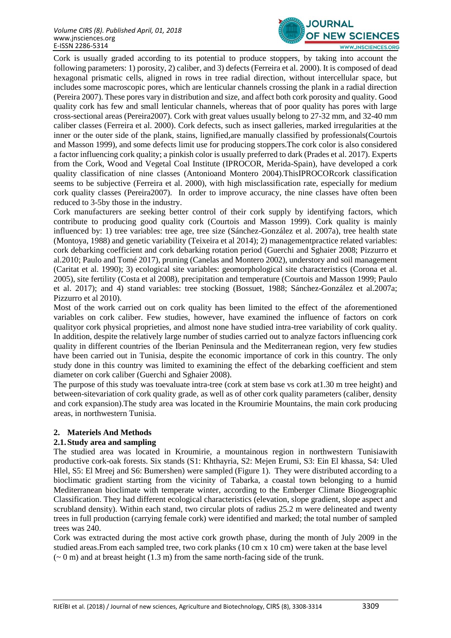

Cork is usually graded according to its potential to produce stoppers, by taking into account the following parameters: 1) porosity, 2) caliber, and 3) defects (Ferreira et al. 2000). It is composed of dead hexagonal prismatic cells, aligned in rows in tree radial direction, without intercellular space, but includes some macroscopic pores, which are lenticular channels crossing the plank in a radial direction (Pereira 2007). These pores vary in distribution and size, and affect both cork porosity and quality. Good quality cork has few and small lenticular channels, whereas that of poor quality has pores with large cross-sectional areas (Pereira2007). Cork with great values usually belong to 27-32 mm, and 32-40 mm caliber classes (Ferreira et al. 2000). Cork defects, such as insect galleries, marked irregularities at the inner or the outer side of the plank, stains, lignified,are manually classified by professionals(Courtois and Masson 1999), and some defects limit use for producing stoppers.The cork color is also considered a factor influencing cork quality; a pinkish color is usually preferred to dark (Prades et al. 2017). Experts from the Cork, Wood and Vegetal Coal Institute (IPROCOR, Merida-Spain), have developed a cork quality classification of nine classes (Antonioand Montero 2004).ThisIPROCORcork classification seems to be subjective (Ferreira et al. 2000), with high misclassification rate, especially for medium cork quality classes (Pereira2007). In order to improve accuracy, the nine classes have often been reduced to 3-5by those in the industry.

Cork manufacturers are seeking better control of their cork supply by identifying factors, which contribute to producing good quality cork (Courtois and Masson 1999). Cork quality is mainly influenced by: 1) tree variables: tree age, tree size (Sánchez-González et al. 2007a), tree health state (Montoya, 1988) and genetic variability (Teixeira et al 2014); 2) managementpractice related variables: cork debarking coefficient and cork debarking rotation period (Guerchi and Sghaier 2008; Pizzurro et al.2010; Paulo and Tomé 2017), pruning (Canelas and Montero 2002), understory and soil management (Caritat et al. 1990); 3) ecological site variables: geomorphological site characteristics (Corona et al. 2005), site fertility (Costa et al 2008), precipitation and temperature (Courtois and Masson 1999; Paulo et al. 2017); and 4) stand variables: tree stocking (Bossuet, 1988; Sánchez-González et al.2007a; Pizzurro et al 2010).

Most of the work carried out on cork quality has been limited to the effect of the aforementioned variables on cork caliber. Few studies, however, have examined the influence of factors on cork qualityor cork physical proprieties, and almost none have studied intra-tree variability of cork quality. In addition, despite the relatively large number of studies carried out to analyze factors influencing cork quality in different countries of the Iberian Peninsula and the Mediterranean region, very few studies have been carried out in Tunisia, despite the economic importance of cork in this country. The only study done in this country was limited to examining the effect of the debarking coefficient and stem diameter on cork caliber (Guerchi and Sghaier 2008).

The purpose of this study was toevaluate intra-tree (cork at stem base vs cork at1.30 m tree height) and between-sitevariation of cork quality grade, as well as of other cork quality parameters (caliber, density and cork expansion).The study area was located in the Kroumirie Mountains, the main cork producing areas, in northwestern Tunisia.

## **2. Materiels And Methods**

## **2.1.Study area and sampling**

The studied area was located in Kroumirie, a mountainous region in northwestern Tunisiawith productive cork-oak forests. Six stands (S1: Khthayria, S2: Mejen Erumi, S3: Ein El khassa, S4: Uled Hlel, S5: El Mreej and S6: Bumershen) were sampled (Figure 1). They were distributed according to a bioclimatic gradient starting from the vicinity of Tabarka, a coastal town belonging to a humid Mediterranean bioclimate with temperate winter, according to the Emberger Climate Biogeographic Classification. They had different ecological characteristics (elevation, slope gradient, slope aspect and scrubland density). Within each stand, two circular plots of radius 25.2 m were delineated and twenty trees in full production (carrying female cork) were identified and marked; the total number of sampled trees was 240.

Cork was extracted during the most active cork growth phase, during the month of July 2009 in the studied areas.From each sampled tree, two cork planks (10 cm x 10 cm) were taken at the base level  $({\sim} 0 \text{ m})$  and at breast height (1.3 m) from the same north-facing side of the trunk.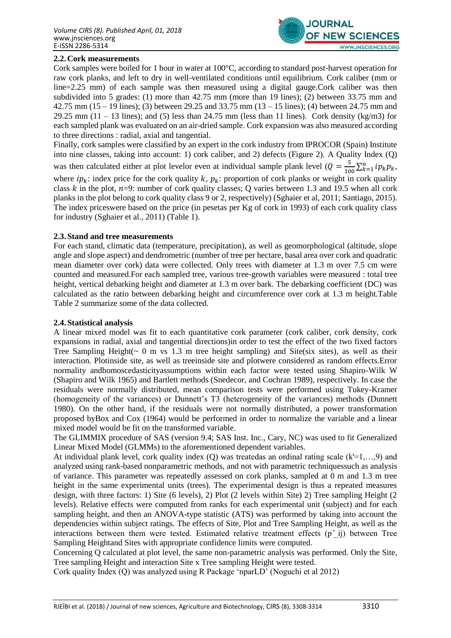

# **2.2.Cork measurements**

Cork samples were boiled for 1 hour in water at 100°C, according to standard post-harvest operation for raw cork planks, and left to dry in well-ventilated conditions until equilibrium. Cork caliber (mm or line=2.25 mm) of each sample was then measured using a digital gauge.Cork caliber was then subdivided into 5 grades: (1) more than 42.75 mm (more than 19 lines); (2) between 33.75 mm and 42.75 mm (15 – 19 lines); (3) between 29.25 and 33.75 mm (13 – 15 lines); (4) between 24.75 mm and 29.25 mm (11 – 13 lines); and (5) less than 24.75 mm (less than 11 lines). Cork density (kg/m3) for each sampled plank was evaluated on an air-dried sample. Cork expansion was also measured according to three directions : radial, axial and tangential.

Finally, cork samples were classified by an expert in the cork industry from IPROCOR (Spain) Institute into nine classes, taking into account: 1) cork caliber, and 2) defects (Figure 2). A Quality Index (Q) was then calculated either at plot levelor even at individual sample plank level ( $Q = \frac{5}{10}$  $\frac{5}{100} \sum_{k=1}^{n} i p_k p_k,$ where  $ip_k$ : index price for the cork quality k,  $p_k$ : proportion of cork planks or weight in cork quality class  $k$  in the plot,  $n=9$ : number of cork quality classes; Q varies between 1.3 and 19.5 when all cork planks in the plot belong to cork quality class 9 or 2, respectively) (Sghaier et al, 2011; Santiago, 2015). The index priceswere based on the price (in pesetas per Kg of cork in 1993) of each cork quality class for industry (Sghaier et al., 2011) (Table 1).

## **2.3.Stand and tree measurements**

For each stand, climatic data (temperature, precipitation), as well as geomorphological (altitude, slope angle and slope aspect) and dendrometric (number of tree per hectare, basal area over cork and quadratic mean diameter over cork) data were collected. Only trees with diameter at 1.3 m over 7.5 cm were counted and measured.For each sampled tree, various tree-growth variables were measured : total tree height, vertical debarking height and diameter at 1.3 m over bark. The debarking coefficient (DC) was calculated as the ratio between debarking height and circumference over cork at 1.3 m height.Table Table 2 summarize some of the data collected.

## **2.4.Statistical analysis**

A linear mixed model was fit to each quantitative cork parameter (cork caliber, cork density, cork expansions in radial, axial and tangential directions)in order to test the effect of the two fixed factors Tree Sampling Height( $\sim 0$  m vs 1.3 m tree height sampling) and Site(six sites), as well as their interaction. Plotinside site, as well as treeinside site and plotwere considered as random effects.Error normality andhomoscedasticityassumptions within each factor were tested using Shapiro-Wilk W (Shapiro and Wilk 1965) and Bartlett methods (Snedecor, and Cochran 1989), respectively. In case the residuals were normally distributed, mean comparison tests were performed using Tukey-Kramer (homogeneity of the variances) or Dunnett's T3 (heterogeneity of the variances) methods (Dunnett 1980). On the other hand, if the residuals were not normally distributed, a power transformation proposed byBox and Cox (1964) would be performed in order to normalize the variable and a linear mixed model would be fit on the transformed variable.

The GLIMMIX procedure of SAS (version 9.4; SAS Inst. Inc., Cary, NC) was used to fit Generalized Linear Mixed Model (GLMMs) to the aforementioned dependent variables.

At individual plank level, cork quality index  $(Q)$  was treated as an ordinal rating scale  $(k=1,...,9)$  and analyzed using rank-based nonparametric methods, and not with parametric techniquessuch as analysis of variance. This parameter was repeatedly assessed on cork planks, sampled at 0 m and 1.3 m tree height in the same experimental units (trees). The experimental design is thus a repeated measures design, with three factors: 1) Site (6 levels), 2) Plot (2 levels within Site) 2) Tree sampling Height (2 levels). Relative effects were computed from ranks for each experimental unit (subject) and for each sampling height, and then an ANOVA-type statistic (ATS) was performed by taking into account the dependencies within subject ratings. The effects of Site, Plot and Tree Sampling Height, as well as the interactions between them were tested. Estimated relative treatment effects  $(p^2 i j)$  between Tree Sampling Heightand Sites with appropriate confidence limits were computed.

Concerning Q calculated at plot level, the same non-parametric analysis was performed. Only the Site, Tree sampling Height and interaction Site x Tree sampling Height were tested.

Cork quality Index (Q) was analyzed using R Package 'nparLD' (Noguchi et al 2012)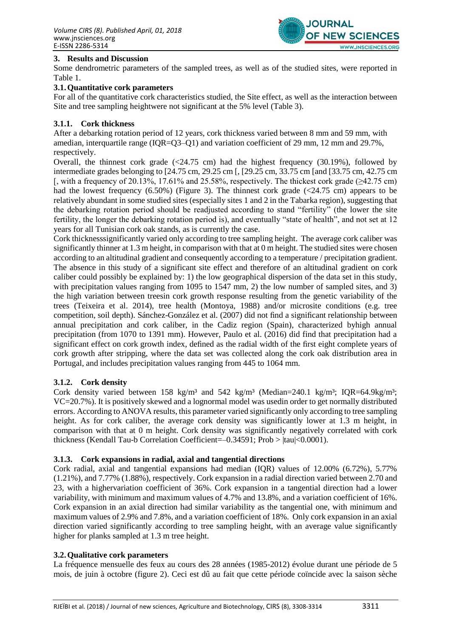

## **3. Results and Discussion**

Some dendrometric parameters of the sampled trees, as well as of the studied sites, were reported in Table 1.

## **3.1.Quantitative cork parameters**

For all of the quantitative cork characteristics studied, the Site effect, as well as the interaction between Site and tree sampling heightwere not significant at the 5% level (Table 3).

#### **3.1.1. Cork thickness**

After a debarking rotation period of 12 years, cork thickness varied between 8 mm and 59 mm, with amedian, interquartile range (IQR=Q3–Q1) and variation coefficient of 29 mm, 12 mm and 29.7%, respectively.

Overall, the thinnest cork grade  $\left( \frac{24.75 \text{ cm}}{24.75 \text{ cm}} \right)$  had the highest frequency  $\left( \frac{30.19\%}{20.19\%} \right)$ , followed by intermediate grades belonging to [24.75 cm, 29.25 cm [, [29.25 cm, 33.75 cm [and [33.75 cm, 42.75 cm [, with a frequency of 20.13%, 17.61% and 25.58%, respectively. The thickest cork grade ( $\geq$ 42.75 cm) had the lowest frequency  $(6.50\%)$  (Figure 3). The thinnest cork grade  $(\leq 24.75 \text{ cm})$  appears to be relatively abundant in some studied sites (especially sites 1 and 2 in the Tabarka region), suggesting that the debarking rotation period should be readjusted according to stand "fertility" (the lower the site fertility, the longer the debarking rotation period is), and eventually "state of health", and not set at 12 years for all Tunisian cork oak stands, as is currently the case.

Cork thicknesssignificantly varied only according to tree sampling height. The average cork caliber was significantly thinner at 1.3 m height, in comparison with that at 0 m height. The studied sites were chosen according to an altitudinal gradient and consequently according to a temperature / precipitation gradient. The absence in this study of a significant site effect and therefore of an altitudinal gradient on cork caliber could possibly be explained by: 1) the low geographical dispersion of the data set in this study, with precipitation values ranging from 1095 to 1547 mm, 2) the low number of sampled sites, and 3) the high variation between treesin cork growth response resulting from the genetic variability of the trees (Teixeira et al. 2014), tree health (Montoya, 1988) and/or microsite conditions (e.g. tree competition, soil depth). Sánchez-González et al. (2007) did not find a significant relationship between annual precipitation and cork caliber, in the Cadiz region (Spain), characterized byhigh annual precipitation (from 1070 to 1391 mm). However, Paulo et al. (2016) did find that precipitation had a significant effect on cork growth index, defined as the radial width of the first eight complete years of cork growth after stripping, where the data set was collected along the cork oak distribution area in Portugal, and includes precipitation values ranging from 445 to 1064 mm.

## **3.1.2. Cork density**

Cork density varied between 158 kg/m<sup>3</sup> and 542 kg/m<sup>3</sup> (Median=240.1 kg/m<sup>3</sup>; IQR=64.9kg/m<sup>3</sup>; VC=20.7%). It is positively skewed and a lognormal model was usedin order to get normally distributed errors. According to ANOVA results, this parameter varied significantly only according to tree sampling height. As for cork caliber, the average cork density was significantly lower at 1.3 m height, in comparison with that at 0 m height. Cork density was significantly negatively correlated with cork thickness (Kendall Tau-b Correlation Coefficient=–0.34591; Prob > |tau|<0.0001).

#### **3.1.3. Cork expansions in radial, axial and tangential directions**

Cork radial, axial and tangential expansions had median (IQR) values of 12.00% (6.72%), 5.77% (1.21%), and 7.77% (1.88%), respectively. Cork expansion in a radial direction varied between 2.70 and 23, with a highervariation coefficient of 36%. Cork expansion in a tangential direction had a lower variability, with minimum and maximum values of 4.7% and 13.8%, and a variation coefficient of 16%. Cork expansion in an axial direction had similar variability as the tangential one, with minimum and maximum values of 2.9% and 7.8%, and a variation coefficient of 18%. Only cork expansion in an axial direction varied significantly according to tree sampling height, with an average value significantly higher for planks sampled at 1.3 m tree height.

#### **3.2.Qualitative cork parameters**

La fréquence mensuelle des feux au cours des 28 années (1985-2012) évolue durant une période de 5 mois, de juin à octobre (figure 2). Ceci est dû au fait que cette période coïncide avec la saison sèche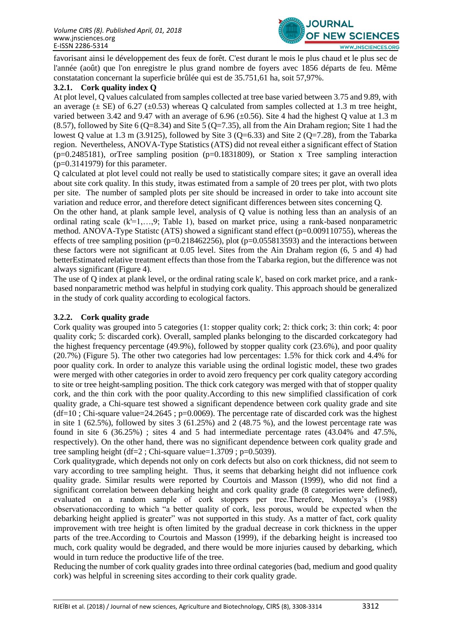

favorisant ainsi le développement des feux de forêt. C'est durant le mois le plus chaud et le plus sec de l'année (août) que l'on enregistre le plus grand nombre de foyers avec 1856 départs de feu. Même constatation concernant la superficie brûlée qui est de 35.751,61 ha, soit 57,97%.

# **3.2.1. Cork quality index Q**

At plot level, Q values calculated from samples collected at tree base varied between 3.75 and 9.89, with an average  $(\pm \text{ SE})$  of 6.27 ( $\pm 0.53$ ) whereas Q calculated from samples collected at 1.3 m tree height, varied between 3.42 and 9.47 with an average of 6.96 ( $\pm$ 0.56). Site 4 had the highest O value at 1.3 m  $(8.57)$ , followed by Site 6 (Q=8.34) and Site 5 (Q=7.35), all from the Ain Draham region; Site 1 had the lowest Q value at 1.3 m (3.9125), followed by Site 3 (Q=6.33) and Site 2 (Q=7.28), from the Tabarka region. Nevertheless, ANOVA-Type Statistics (ATS) did not reveal either a significant effect of Station  $(p=0.2485181)$ , orTree sampling position  $(p=0.1831809)$ , or Station x Tree sampling interaction  $(p=0.3141979)$  for this parameter.

Q calculated at plot level could not really be used to statistically compare sites; it gave an overall idea about site cork quality. In this study, itwas estimated from a sample of 20 trees per plot, with two plots per site. The number of sampled plots per site should be increased in order to take into account site variation and reduce error, and therefore detect significant differences between sites concerning Q.

On the other hand, at plank sample level, analysis of Q value is nothing less than an analysis of an ordinal rating scale (k'=1,…,9; Table 1), based on market price, using a rank-based nonparametric method. ANOVA-Type Statistc (ATS) showed a significant stand effect (p=0.009110755), whereas the effects of tree sampling position ( $p=0.218462256$ ), plot ( $p=0.055813593$ ) and the interactions between these factors were not significant at 0.05 level. Sites from the Ain Draham region (6, 5 and 4) had betterEstimated relative treatment effects than those from the Tabarka region, but the difference was not always significant (Figure 4).

The use of Q index at plank level, or the ordinal rating scale k', based on cork market price, and a rankbased nonparametric method was helpful in studying cork quality. This approach should be generalized in the study of cork quality according to ecological factors.

# **3.2.2. Cork quality grade**

Cork quality was grouped into 5 categories (1: stopper quality cork; 2: thick cork; 3: thin cork; 4: poor quality cork; 5: discarded cork). Overall, sampled planks belonging to the discarded corkcategory had the highest frequency percentage (49.9%), followed by stopper quality cork (23.6%), and poor quality (20.7%) (Figure 5). The other two categories had low percentages: 1.5% for thick cork and 4.4% for poor quality cork. In order to analyze this variable using the ordinal logistic model, these two grades were merged with other categories in order to avoid zero frequency per cork quality category according to site or tree height-sampling position. The thick cork category was merged with that of stopper quality cork, and the thin cork with the poor quality.According to this new simplified classification of cork quality grade, a Chi-square test showed a significant dependence between cork quality grade and site  $(df=10; Chi-square value=24.2645; p=0.0069)$ . The percentage rate of discarded cork was the highest in site 1 (62.5%), followed by sites 3 (61.25%) and 2 (48.75 %), and the lowest percentage rate was found in site 6 (36.25%) ; sites 4 and 5 had intermediate percentage rates (43.04% and 47.5%, respectively). On the other hand, there was no significant dependence between cork quality grade and tree sampling height (df=2; Chi-square value=1.3709; p=0.5039).

Cork qualitygrade, which depends not only on cork defects but also on cork thickness, did not seem to vary according to tree sampling height. Thus, it seems that debarking height did not influence cork quality grade. Similar results were reported by Courtois and Masson (1999), who did not find a significant correlation between debarking height and cork quality grade (8 categories were defined), evaluated on a random sample of cork stoppers per tree.Therefore, Montoya's (1988) observationaccording to which "a better quality of cork, less porous, would be expected when the debarking height applied is greater" was not supported in this study. As a matter of fact, cork quality improvement with tree height is often limited by the gradual decrease in cork thickness in the upper parts of the tree.According to Courtois and Masson (1999), if the debarking height is increased too much, cork quality would be degraded, and there would be more injuries caused by debarking, which would in turn reduce the productive life of the tree.

Reducing the number of cork quality grades into three ordinal categories (bad, medium and good quality cork) was helpful in screening sites according to their cork quality grade.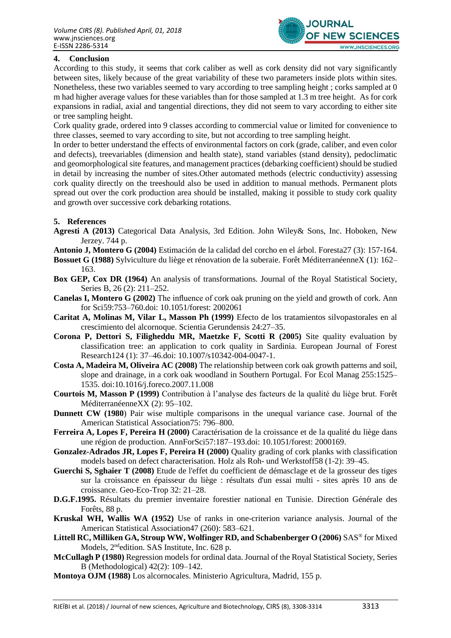

# **4. Conclusion**

According to this study, it seems that cork caliber as well as cork density did not vary significantly between sites, likely because of the great variability of these two parameters inside plots within sites. Nonetheless, these two variables seemed to vary according to tree sampling height ; corks sampled at 0 m had higher average values for these variables than for those sampled at 1.3 m tree height. As for cork expansions in radial, axial and tangential directions, they did not seem to vary according to either site or tree sampling height.

Cork quality grade, ordered into 9 classes according to commercial value or limited for convenience to three classes, seemed to vary according to site, but not according to tree sampling height.

In order to better understand the effects of environmental factors on cork (grade, caliber, and even color and defects), treevariables (dimension and health state), stand variables (stand density), pedoclimatic and geomorphological site features, and management practices (debarking coefficient) should be studied in detail by increasing the number of sites.Other automated methods (electric conductivity) assessing cork quality directly on the treeshould also be used in addition to manual methods. Permanent plots spread out over the cork production area should be installed, making it possible to study cork quality and growth over successive cork debarking rotations.

## **5. References**

- **Agresti A (2013)** Categorical Data Analysis, 3rd Edition. John Wiley& Sons, Inc. Hoboken, New Jerzey. 744 p.
- **Antonio J, Montero G (2004)** Estimación de la calidad del corcho en el árbol. Foresta27 (3): 157-164.
- **Bossuet G (1988)** Sylviculture du liège et rénovation de la suberaie. Forêt MéditerranéenneX (1): 162– 163.
- **Box GEP, Cox DR (1964)** An analysis of transformations. Journal of the Royal Statistical Society, Series B, 26 (2): 211–252.
- **Canelas I, Montero G (2002)** The influence of cork oak pruning on the yield and growth of cork. Ann for Sci59:753–760.doi: 10.1051/forest: 2002061
- **Caritat A, Molinas M, Vilar L, Masson Ph (1999)** Efecto de los tratamientos silvopastorales en al crescimiento del alcornoque. Scientia Gerundensis 24:27–35.
- **Corona P, Dettori S, Filigheddu MR, Maetzke F, Scotti R (2005)** Site quality evaluation by classification tree: an application to cork quality in Sardinia. European Journal of Forest Research124 (1): 37–46.doi: 10.1007/s10342-004-0047-1.
- **Costa A, Madeira M, Oliveira AC (2008)** The relationship between cork oak growth patterns and soil, slope and drainage, in a cork oak woodland in Southern Portugal. For Ecol Manag 255:1525– 1535. doi:10.1016/j.foreco.2007.11.008
- **Courtois M, Masson P (1999)** Contribution à l'analyse des facteurs de la qualité du liège brut. Forêt MéditerranéenneXX (2): 95–102.
- **Dunnett CW (1980**) Pair wise multiple comparisons in the unequal variance case. Journal of the American Statistical Association75: 796–800.
- **Ferreira A, Lopes F, Pereira H (2000)** Caractérisation de la croissance et de la qualité du liège dans une région de production. AnnForSci57:187–193.doi: 10.1051/forest: 2000169.
- **Gonzalez-Adrados JR, Lopes F, Pereira H (2000)** Quality grading of cork planks with classification models based on defect characterisation. Holz als Roh- und Werkstoff58 (1-2): 39–45.
- **Guerchi S, Sghaier T (2008)** Etude de l'effet du coefficient de démasclage et de la grosseur des tiges sur la croissance en épaisseur du liège : résultats d'un essai multi - sites après 10 ans de croissance. Geo-Eco-Trop 32: 21–28.
- **D.G.F.1995.** Résultats du premier inventaire forestier national en Tunisie. Direction Générale des Forêts, 88 p.
- **Kruskal WH, Wallis WA (1952)** Use of ranks in one-criterion variance analysis. Journal of the American Statistical Association47 (260): 583–621.
- **Littell RC, Milliken GA, Stroup WW, Wolfinger RD, and Schabenberger O (2006)** SAS® for Mixed Models, 2<sup>nd</sup>edition. SAS Institute, Inc. 628 p.
- **McCullagh P (1980)** Regression models for ordinal data. Journal of the Royal Statistical Society, Series B (Methodological) 42(2): 109–142.
- **Montoya OJM (1988)** Los alcornocales. Ministerio Agricultura, Madrid, 155 p.